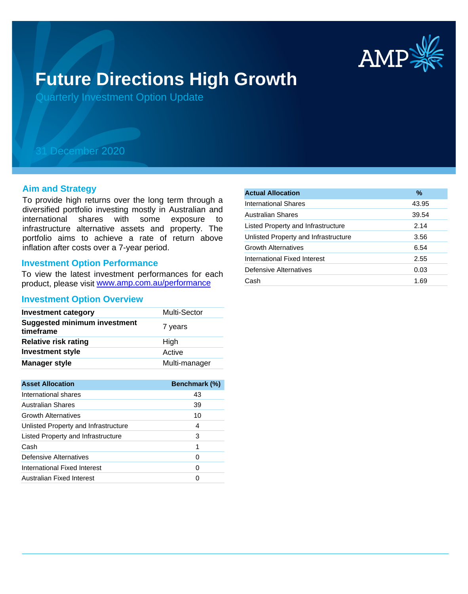

# **Future Directions High Growth**

Quarterly Investment Option Update

## 31 December 2020

#### **Aim and Strategy**

To provide high returns over the long term through a diversified portfolio investing mostly in Australian and international shares with some exposure to infrastructure alternative assets and property. The portfolio aims to achieve a rate of return above inflation after costs over a 7-year period.

#### **Investment Option Performance**

product, please visit www.amp.com.au/performance To view the latest investment performances for each

#### **Investment Option Overview**

| <b>Investment category</b>                       | Multi-Sector  |
|--------------------------------------------------|---------------|
| <b>Suggested minimum investment</b><br>timeframe | 7 years       |
| <b>Relative risk rating</b>                      | High          |
| <b>Investment style</b>                          | Active        |
| <b>Manager style</b>                             | Multi-manager |

| <b>Asset Allocation</b>              | <b>Benchmark (%)</b> |
|--------------------------------------|----------------------|
| International shares                 | 43                   |
| Australian Shares                    | 39                   |
| <b>Growth Alternatives</b>           | 10                   |
| Unlisted Property and Infrastructure | 4                    |
| Listed Property and Infrastructure   | 3                    |
| Cash                                 | 1                    |
| Defensive Alternatives               | O                    |
| International Fixed Interest         | O                    |
| Australian Fixed Interest            |                      |

| <b>Actual Allocation</b>             | $\%$  |
|--------------------------------------|-------|
| International Shares                 | 43.95 |
| <b>Australian Shares</b>             | 39.54 |
| Listed Property and Infrastructure   | 2.14  |
| Unlisted Property and Infrastructure | 3.56  |
| <b>Growth Alternatives</b>           | 6.54  |
| International Fixed Interest         | 2.55  |
| Defensive Alternatives               | 0.03  |
| Cash                                 | 1.69  |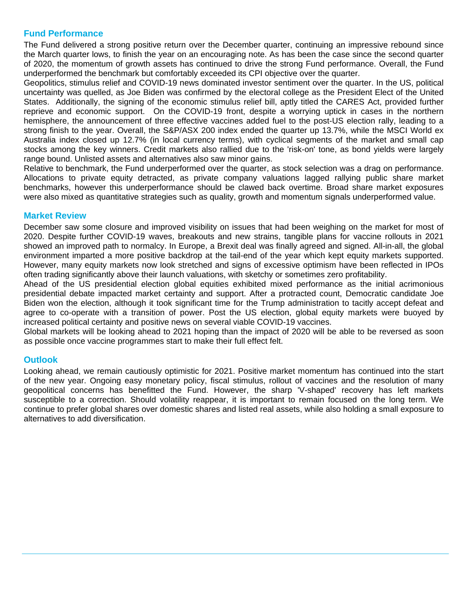### **Fund Performance**

The Fund delivered a strong positive return over the December quarter, continuing an impressive rebound since the March quarter lows, to finish the year on an encouraging note. As has been the case since the second quarter of 2020, the momentum of growth assets has continued to drive the strong Fund performance. Overall, the Fund underperformed the benchmark but comfortably exceeded its CPI objective over the quarter.

Geopolitics, stimulus relief and COVID-19 news dominated investor sentiment over the quarter. In the US, political uncertainty was quelled, as Joe Biden was confirmed by the electoral college as the President Elect of the United States. Additionally, the signing of the economic stimulus relief bill, aptly titled the CARES Act, provided further reprieve and economic support. On the COVID-19 front, despite a worrying uptick in cases in the northern hemisphere, the announcement of three effective vaccines added fuel to the post-US election rally, leading to a strong finish to the year. Overall, the S&P/ASX 200 index ended the quarter up 13.7%, while the MSCI World ex Australia index closed up 12.7% (in local currency terms), with cyclical segments of the market and small cap stocks among the key winners. Credit markets also rallied due to the 'risk-on' tone, as bond yields were largely range bound. Unlisted assets and alternatives also saw minor gains.

Relative to benchmark, the Fund underperformed over the quarter, as stock selection was a drag on performance. Allocations to private equity detracted, as private company valuations lagged rallying public share market benchmarks, however this underperformance should be clawed back overtime. Broad share market exposures were also mixed as quantitative strategies such as quality, growth and momentum signals underperformed value.

#### **Market Review**

December saw some closure and improved visibility on issues that had been weighing on the market for most of 2020. Despite further COVID-19 waves, breakouts and new strains, tangible plans for vaccine rollouts in 2021 showed an improved path to normalcy. In Europe, a Brexit deal was finally agreed and signed. All-in-all, the global environment imparted a more positive backdrop at the tail-end of the year which kept equity markets supported. However, many equity markets now look stretched and signs of excessive optimism have been reflected in IPOs often trading significantly above their launch valuations, with sketchy or sometimes zero profitability.

Ahead of the US presidential election global equities exhibited mixed performance as the initial acrimonious presidential debate impacted market certainty and support. After a protracted count, Democratic candidate Joe Biden won the election, although it took significant time for the Trump administration to tacitly accept defeat and agree to co-operate with a transition of power. Post the US election, global equity markets were buoyed by increased political certainty and positive news on several viable COVID-19 vaccines.

Global markets will be looking ahead to 2021 hoping than the impact of 2020 will be able to be reversed as soon as possible once vaccine programmes start to make their full effect felt.

### **Outlook**

Looking ahead, we remain cautiously optimistic for 2021. Positive market momentum has continued into the start of the new year. Ongoing easy monetary policy, fiscal stimulus, rollout of vaccines and the resolution of many geopolitical concerns has benefitted the Fund. However, the sharp 'V-shaped' recovery has left markets susceptible to a correction. Should volatility reappear, it is important to remain focused on the long term. We continue to prefer global shares over domestic shares and listed real assets, while also holding a small exposure to alternatives to add diversification.